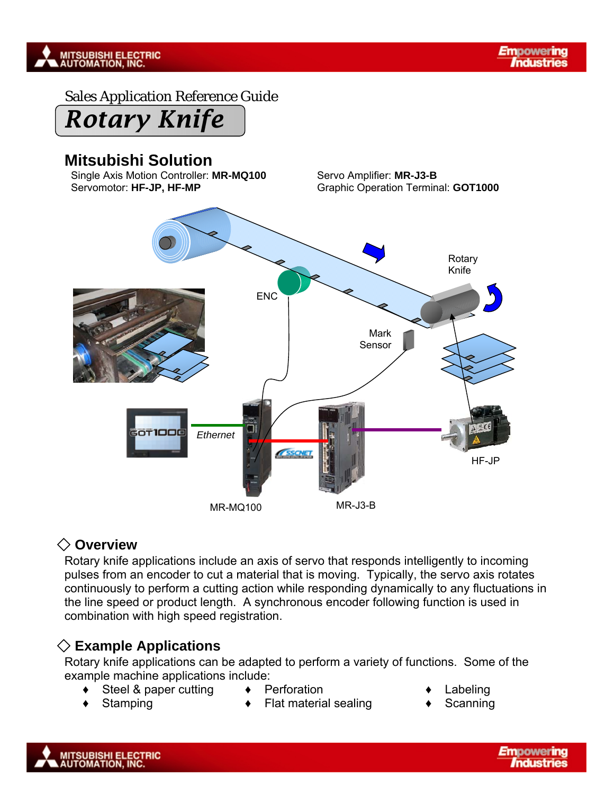

Sales Application Reference Guide

# *Rotary Knife*

## **Mitsubishi Solution**

Single Axis Motion Controller: MR-MQ100 Servo Amplifier: MR-J3-B Servomotor: **HF-JP, HF-MP Graphic Operation Terminal: GOT1000** 



#### ◇ **Overview**

Rotary knife applications include an axis of servo that responds intelligently to incoming pulses from an encoder to cut a material that is moving. Typically, the servo axis rotates continuously to perform a cutting action while responding dynamically to any fluctuations in the line speed or product length. A synchronous encoder following function is used in combination with high speed registration.

## ◇ **Example Applications**

Rotary knife applications can be adapted to perform a variety of functions. Some of the example machine applications include:

- Steel & paper cutting  $\rightarrow$  Perforation → Labeling
	- Stamping ◆ Flat material sealing ◆ Scanning
- -